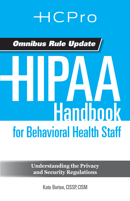## **HCPro**

*Omnibus Rule Update*

# for Behavioral Health Staff HIPAA **Handbook**

**Understanding the Privacy and Security Regulations**

Kate Borten, CISSP, CISM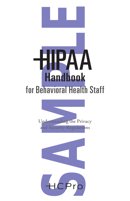



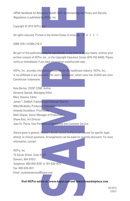*HIPAA Handbook for Behavioral Health Staff: Understanding the Privacy and Security Regulations* is published by HCPro, Inc.

Copyright © 2013 HCPro, Inc.

All rights reserved. Printed in the United States of America. 5 4 3 2 1

ISBN: 978-1-61569-216-3

No part of this publication may be reproduced, in any form or by any means, without prior written consent of HCPro, Inc., or the Copyright Clearance Center (978-750-8400). Please notify us immediately if you have received an unauthorized copy.

HCPro, Inc., provides information resources for the healthcare industry. HCPro, Inc., is not affiliated in any way with The Joint Commission, which owns the JCAHO and Joint Commission trademarks.

Notal Health Staff. Understanding the Privacy and Security<br>
NGP(0, Inc.<br>
Inc.<br>
Inc.<br>
Inc.<br>
Inc.<br>
Inc.<br>
Inc.<br>
Inc.<br>
Inc.<br>
Inc.<br>
Inc.<br>
Inc.<br>
Inc.<br>
Inc.<br>
Inc.<br>
Inc.<br>
Inc.<br>
Inc.<br>
Inc.<br>
Inc.<br>
Inc.<br>
Inc.<br>
Inc.<br>
Inc. or the Copyr Kate Borten, CISSP, CISM, Author Gerianne Spanek, Managing Editor Mary Stevens, Editor James T. DeWolf, Publisher and Editorial Director Mike Mirabello, Production Specialist Amanda Donaldson, Proofreader Matt Sharpe, Senior Manager of Production Shane Katz, Art Director Jean St. Pierre, Vice President of Operations and Customer Service

Advice given is general. Readers should consult professional counsel for specific legal, ethical, or clinical questions. Arrangements can be made for quantity discounts. For more information, contact:

HCPro, Inc. 75 Sylvan Street, Suite A-101 Danvers, MA 01923 Telephone: 800-650-6787 or 781-639-1872 Fax: 800-639-8511 Email: *customerservice@hcpro.com*

**Visit HCPro online at:** *www.hcpro.com* **and** *www.hcmarketplace.com***.**

05/2013 22022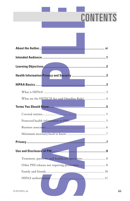#### **College CONTENTS**

| What are the HITECH Act and Omnibus Rule?  4    |
|-------------------------------------------------|
|                                                 |
|                                                 |
| Protected health information or PHI             |
|                                                 |
|                                                 |
|                                                 |
|                                                 |
| Treatment, payment, and healthcare operations 8 |
|                                                 |
|                                                 |
| 2013 HCPro, Inc.                                |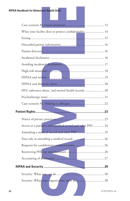| HIPAA Handbook for Behavio <mark>ral H</mark> ealth Staff |                                                            |                    |
|-----------------------------------------------------------|------------------------------------------------------------|--------------------|
|                                                           |                                                            |                    |
|                                                           |                                                            |                    |
|                                                           | What your facility does to protect confidentiality 14      |                    |
|                                                           |                                                            |                    |
|                                                           |                                                            |                    |
|                                                           |                                                            |                    |
|                                                           |                                                            |                    |
|                                                           |                                                            |                    |
|                                                           |                                                            |                    |
|                                                           |                                                            |                    |
|                                                           |                                                            |                    |
|                                                           | HIV, substance abuse, and mental health records  20        |                    |
|                                                           |                                                            |                    |
|                                                           |                                                            |                    |
|                                                           |                                                            |                    |
|                                                           |                                                            |                    |
|                                                           | Access to a patient's own medical record and other PHI  24 |                    |
|                                                           |                                                            |                    |
|                                                           |                                                            |                    |
|                                                           |                                                            |                    |
|                                                           |                                                            |                    |
|                                                           |                                                            |                    |
|                                                           |                                                            |                    |
|                                                           |                                                            |                    |
|                                                           |                                                            |                    |
|                                                           |                                                            |                    |
| iv                                                        |                                                            | © 2013 HCPro, Inc. |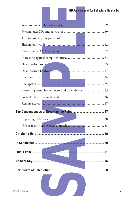| Protecting portable computers and other devices 35 |  |
|----------------------------------------------------|--|
|                                                    |  |
|                                                    |  |
|                                                    |  |
|                                                    |  |
|                                                    |  |
|                                                    |  |
|                                                    |  |
|                                                    |  |
|                                                    |  |
|                                                    |  |
|                                                    |  |
|                                                    |  |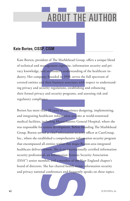## **ABOUT THE AUTHOR**

#### **Kate Borten, CISSP, CISM**

Kate Borten, president of The Marblehead Group, offers a unique blend of technical and management expertise, information security and privacy knowledge, and an insider's understanding of the healthcare industry. Her company, founded in 1999, serves the full spectrum of covered entities and their business associates with respect to understanding privacy and security regulations, establishing and enhancing their formal privacy and security programs, and assessing risk and regulatory compliance.

**P. CISM**<br> **Examplement experiment and the computer of the Marblehead Group, offers a unique blence and principle in the material and insider's uniform interpediate in a material and insider's understanding of the healthca** Borten has more than 20 years of experience designing, implementing, and integrating healthcare information systems at world-renowned medical facilities, including Massachusetts General Hospital, where she was responsible for system development. Before founding The Marblehead Group, Borten served as chief information security officer at CareGroup, Inc., where she established a comprehensive information security program that encompassed all entities within this major Boston-area integrated healthcare delivery system. She is an internationally certified information security professional, an Information Systems Security Association (ISSA™) senior member, and a member of the New England chapter's board of directors. She has chaired health sector information security and privacy national conferences and frequently speaks on these topics.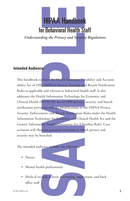### HIPAA Handbook for Behavioral Health Staff

*Understanding the Privacy and Security Regulations*

#### **Intended Audience**

**HIPAA Handbook**<br> **The Behavioral Health Staff**<br>
Engine *Behavioral Health Staff*<br>
Engine *Behavioral Health Stafff*<br>
Shains the Health Insurance Portability and Account<br>
the Modern to behavioral health staff. It also<br>
the This handbook explains the Health Insurance Portability and Accountability Act of 1996 (HIPAA) Privacy, Security, and Breach Notification Rules as applicable and relevant to behavioral health staff. It also addresses the Health Information Technology for Economic and Clinical Health (HITECH) Act of 2009 privacy, security, and breach notification provisions and the Modifications to the HIPAA Privacy, Security, Enforcement, and Breach Notification Rules under the Health Information Technology for Economic and Clinical Health Act and the Genetic Information Nondiscrimination Act (Omnibus Rule). Case scenarios will illustrate potential situations in which privacy and security may be breached.

The intended audience includes the following:

- Nurses
- Mental health professionals
- Medical records, patient accounting, registration, and back office staff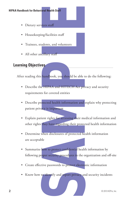- Dietary services staff
- Housekeeping/facilities staff
- Trainees, students, and volunteers
- All other ancillary staff

#### **Learning Objectives**

After reading this handbook, you should be able to do the following:

- Describe the HIPAA and HITECH Act privacy and security requirements for covered entities
- The Health Staff<br>
Starf and volunteers<br>
Sessions and volunteers<br>
Starf dents, and volunteers<br>
Starf dents, and volunteers<br>
Starf dents, and HITECH Act privacy and security<br>
starf and HITECH Act privacy and security<br>
Starf • Describe protected health information and explain why protecting patient privacy is important
- Explain patient rights for accessing their medical information and other rights they have regarding their protected health information
- Determine when disclosures of protected health information are acceptable
- Summarize how to protect confidential health information by following proper security procedures in the organization and off-site
- Create effective passwords to protect electronic information
- Know how to identify and report privacy and security incidents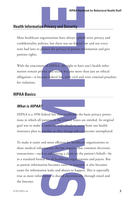#### **Health Information Privacy and Security**

Most healthcare organizations have always upheld strict privacy and confidentiality policies, but there was no federal law and not every state had laws to protect the privacy of patient information and give patients rights.

With the enactment of HIPAA, the right to have one's health information remain private and secure became more than just an ethical obligation—it became federal law, with civil and even criminal penalties for violations.

#### **HIPAA Basics**

#### *What is HIPAA?*

HIPAA is a 1996 federal law that establishes the basic privacy protections to which all patients in the United States are entitled. Its original goal was to make it easier for individuals to move from one health insurance plan to another as they change jobs or become unemployed.

HIPAA Handbook for Behavioral Health<br>
Privacy and Security<br>
ganizations have always upheld strict privacy and<br>
ticies, but there was no federal law and not every<br>
notect the privacy of patient information and give<br>
notect To make it easier and more efficient for healthcare organizations to share medical information, the law requires that common electronic transactions—such as submitting a claim on the patient's behalf—be in a standard format for all healthcare organizations and payers. But as patient information becomes easier to transmit, it also becomes easier for information leaks and abuses to happen. This is especially true as more information is shared electronically through email and the Internet.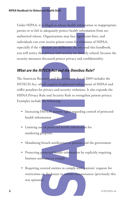**Example 18 In the Staff Staff Staff Staff Staff Staff Automorphism**<br> **Example 20** Interaction for the significant fines, and<br>
an energieve prison terms for violations of HIPAA,<br> **Alations are deliberate.** As you read this Under HIPAA, it is illegal to release health information to inappropriate parties or to fail to adequately protect health information from unauthorized release. Organizations may face significant fines, and individuals can even receive prison terms for violations of HIPAA, especially if the violations are deliberate. As you read this handbook, you will notice that privacy and security are directly related, because the security measures discussed protect privacy and confidentiality.

#### *What are the HITECH Act and the Omnibus Rule?*

The American Recovery and Reinvestment Act of 2009 includes the HITECH Act, which requires heightened enforcement of HIPAA and stiffer penalties for privacy and security violations. It also expands the HIPAA Privacy Rule and Security Rule to strengthen patient privacy. Examples include the following:

- Increasing HIPAA's patient rights regarding control of protected health information
- Limiting use of protected health information for marketing purposes
- Mandating breach notification to patients and the government
- Protecting protected health information by explicitly requiring business associates to comply
- Requiring covered entities to comply with patients' requests for restrictions on disclosure in certain circumstances (previously this was optional)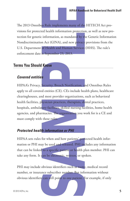The 2013 Omnibus Rule implements many of the HITECH Act provisions for protected health information protection, as well as new protection for genetic information, as mandated by the Genetic Information Nondiscrimination Act (GINA), and new privacy provisions from the U.S. Department of Health and Human Services (HHS). The rule's enforcement date is September 23, 2013.

#### **Terms You Should Know**

#### *Covered entities*

**HIPAA Handbook for Behavioral Health**<br>
Samely method information protection, as well as new pro-<br>
information, as mandated by the Genetic Information<br>
Act (GINA), and new privacy provisions from the<br>
of Health and Human S HIPAA's Privacy, Security, Breach Notification, and Omnibus Rules apply to all covered entities (CE). CEs include health plans, healthcare clearinghouses, and most provider organizations, such as behavioral health facilities, physician practices, therapists, dental practices, hospitals, ambulatory facilities, skilled nursing facilities, home health agencies, and pharmacies. The organization you work for is a CE and must comply with these rules.

#### *Protected health information or PHI*

HIPAA sets rules for when and how patients' protected health information or PHI may be used and released. PHI includes any information that can be linked to a specific patient or health plan member. PHI can take any form. It can be electronic, written, or spoken.

PHI may include obvious identifiers such as name, medical record number, or insurance subscriber number. But information without obvious identifiers can still point to one patient. For example, if only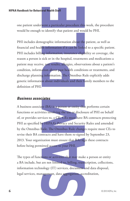one patient underwent a particular procedure this week, the procedure would be enough to identify that patient and would be PHI.

Fraction Staff Staff Staff Staff Staff Control and Nould be PHI.<br>
Separation if the procedure this week, the procedure of identify that patient and would be PHI.<br>
Separation if it can be finded to a specific patient and in PHI includes demographic information about the patient, as well as financial and health information if it can be linked to a specific patient. PHI includes billing information, insurance eligibility or coverage, the reason a person is sick or in the hospital, treatments and medications a patient may receive, test results, allergies, observations about a patient's condition, information about past health conditions or treatments, and discharge planning information. The Omnibus Rule explicitly adds genetic information about individuals and their family members to the definition of PHI.

#### *Business associates*

A business associate (BA) is a person or entity that performs certain functions or activities involving the use or disclosure of PHI on behalf of, or provides services to, a CE. CEs must have BA contracts protecting PHI as specified by HIPAA's Privacy and Security Rules and amended by the Omnibus Rule. The Omnibus Rule changes require most CEs to revise their BA contracts and have them re-signed by September 23, 2013. Your organization must ensure that BAs sign these contracts before being permitted access to your PHI.

The types of functions or activities that may make a person or entity a BA include, but are not limited to, billing, transcription, collections, information technology (IT) services, document and data disposal, legal services, management, data aggregation, accreditation,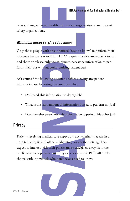e-prescribing gateways, health information organizations, and patient safety organizations.

#### *Minimum necessary/need to know*

Only those people with an authorized "need to know" to perform their jobs may have access to PHI. HIPAA requires healthcare workers to use and share or release only the minimum necessary information to perform their jobs without compromising patient care.

Ask yourself the following questions before viewing any patient information or disclosing it to someone else:

- Do I need this information to do my job?
- What is the least amount of information I need to perform my job?
- Does the other person need this information to perform his or her job?

#### **Privacy**

HIPAA Handbook for Behavioral Health<br>
HIPAA Handbook for Behavioral Health<br>
Is.<br>
Sarry/need to know<br>
with an authorized "need to know" to perform their<br>
ss to PHI. HIPAA requires healthcare workers to use<br>
confy the minihu Patients receiving medical care expect privacy whether they are in a hospital, a physician's office, a laboratory, or another setting. They expect to interact with their physicians or caregivers away from the public whenever possible, and they expect that their PHI will not be shared with individuals who don't have a need to know.

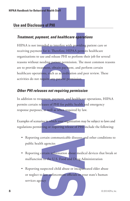#### **Use and Disclosure of PHI**

#### *Treatment, payment, and healthcare operations*

ral Health Staff<br> **e of PHI**<br> **Neart, and healthcare operations**<br>
and to interfere with providing patient care of<br>
for it. Therefore, HIPAA permits healthcare<br>
e and release PHI to perform their job for several<br>
eding pati HIPAA is not intended to interfere with providing patient care or receiving payment for it. Therefore, HIPAA permits healthcare organizations to use and release PHI to perform their job for several reasons without needing patient permission. The most common reasons are to provide treatment, obtain payment, and perform certain healthcare operations, such as accreditation and peer review. These activities do not require any patient permission.

#### *Other PHI releases not requiring permission*

In addition to treatment, payment, and healthcare operations, HIPAA permits certain releases of PHI for public health and emergency response purposes, as well as when required by law.

Examples of scenarios in which your organization may be subject to laws and regulations permitting or requiring release of PHI include the following:

- Reporting certain communicable diseases and other conditions to public health agencies
- Reporting certain information about medical devices that break or malfunction to the U.S. Food and Drug Administration

• Reporting suspected child abuse or incapacitated elder abuse or neglect to law enforcement officials or your state's human services agency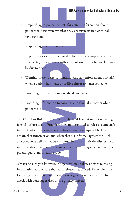- Responding to police requests for certain information about patients to determine whether they are suspects in a criminal investigation
- Responding to court orders
- Reporting cases of suspicious deaths or certain suspected crime victims (e.g., individuals with gunshot wounds or burns that may be due to arson)
- Warning those in the community (and law enforcement officials) when a patient has made a credible threat to harm someone
- Providing information in a medical emergency
- Providing information to coroners and funeral directors when patients die

HIPAA Handbook for Behavioral Health<br>to police requests for certain information about<br>etermine whether they are suspects in a criminal<br>information about<br>technic whether they are suspects in a criminal<br>information about<br>inc The Omnibus Rule adds another public health situation not requiring formal authorization. Providers now are permitted to release a student's immunization status to schools when schools are required by law to obtain that information and when there is informal agreement, such as a telephone call from a parent. Providers must limit the disclosure to immunization status only and must document the agreement from the parent, guardian, or adult student.

Always be sure you know your organization's policies before releasing information, and ensure that each release is approved. Remember the following motto, "When in doubt, don't give it out," unless you first check with your supervisor or the privacy officer.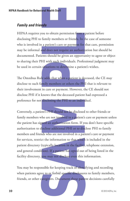#### *Family and friends*

HIPAA requires you to obtain permission from a patient before disclosing PHI to family members or friends. In the case of someone who is involved in a patient's care or payment for that care, permission may be informal and does not require an authorization but should be documented. Patients should be given an opportunity to agree or object to sharing their PHI with such individuals. Professional judgment may be used in certain situations to determine a patient's wishes.

The Omnibus Rule adds that when a patient is deceased, the CE may disclose to such family members or others the PHI that is relevant to their involvement in care or payment. However, the CE should not disclose PHI if it knows that the deceased patient had expressed a preference for not disclosing the PHI to an individual.

**rail Health Staff**<br> **Staff**<br> **Staff**<br> **Staff**<br> **Staff**<br> **Staff**<br> **Staff**<br> **Staff**<br> **Staff**<br> **Staff**<br> **Staff**<br> **Staff**<br> **Staff**<br> **Staff**<br> **Staff**<br> **Staff**<br> **Staff**<br> **Staff**<br> **Staff**<br> **Staff**<br> **Staff**<br> **Staff**<br> **Staff**<br> **St** Conversely, a patient's PHI should not be disclosed to other friends or family members who are not involved in a patient's care or payment unless the patient has signed an authorization form. If you don't have specific authorization to disclose additional PHI or to disclose PHI to family members and friends who are not involved in a patient's care or payment for services, restrict the information to that which is included in the patient directory (typically location in the facility, telephone extension, and general condition). If a patient has opted out of being listed in the facility directory, you may not disclose even this information.

You may be responsible for keeping track of identifying and recording when patients agree to or forbid specific disclosures to family members, friends, or other caregivers. Document these patient decisions carefully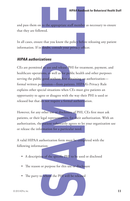and pass them on to the appropriate staff member as necessary to ensure that they are followed.

In all cases, ensure that you know the policy before releasing any patient information. If in doubt, consult your privacy officer.

#### *HIPAA authorizations*

HIPAA Handbook for Behavioral Health<br>
the to the appropriate staff member as necessary to ensured.<br>
that you know the policy before releasing any patier<br>
doubt, consult your privacy officer.<br> **Altridus**<br>
the use and releas CEs are permitted to use and release PHI for treatment, payment, and healthcare operations, as well as for public health and other purposes serving the public good without first obtaining an authorization formal written permission—from patients. HIPAA's Privacy Rule explains other special situations when CEs must give patients an opportunity to agree or disagree with the way their PHI is used or released but that do not require a formal authorization.

However, for any other use or disclosure of PHI, CEs first must ask patients, or their legal representatives, for their authorization. With an authorization, the patient voluntarily agrees to let your organization use or release the information for a particular need.

A valid HIPAA authorization form must be completed with the following information:

- A description of the specific PHI to be used or disclosed
- The reason or purpose for this use or disclosure
- The party to whom the PHI will be released